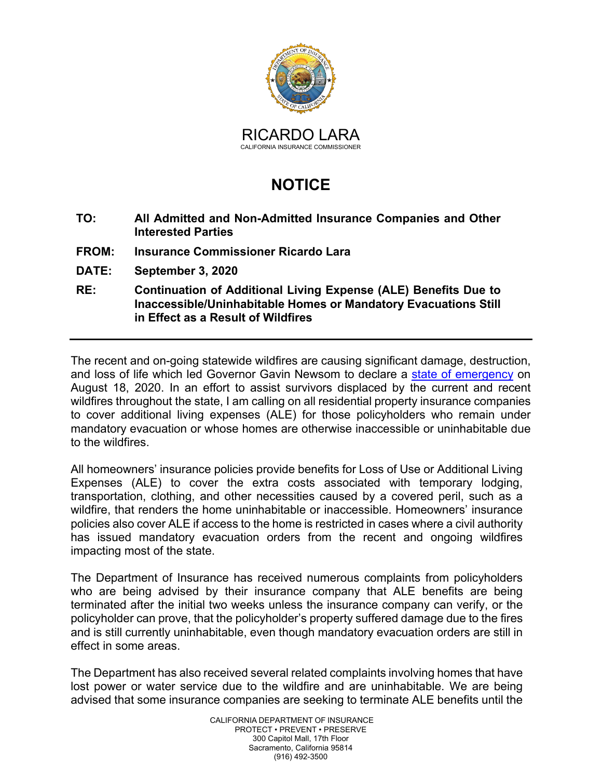

## **NOTICE**

- **TO: All Admitted and Non-Admitted Insurance Companies and Other Interested Parties**
- **FROM: Insurance Commissioner Ricardo Lara**
- **DATE: September 3, 2020**
- **RE: Continuation of Additional Living Expense (ALE) Benefits Due to Inaccessible/Uninhabitable Homes or Mandatory Evacuations Still in Effect as a Result of Wildfires**

 August 18, 2020. In an effort to assist survivors displaced by the current and recent wildfires throughout the state, I am calling on all residential property insurance companies to cover additional living expenses (ALE) for those policyholders who remain under The recent and on-going statewide wildfires are causing significant damage, destruction, and loss of life which led Governor Gavin Newsom to declare a [state of emergency](https://www.gov.ca.gov/wp-content/uploads/2020/08/8.18.20-Fire-State-of-Emergency-Proclamation.pdf) on mandatory evacuation or whose homes are otherwise inaccessible or uninhabitable due to the wildfires.

 transportation, clothing, and other necessities caused by a covered peril, such as a impacting most of the state. All homeowners' insurance policies provide benefits for Loss of Use or Additional Living Expenses (ALE) to cover the extra costs associated with temporary lodging, wildfire, that renders the home uninhabitable or inaccessible. Homeowners' insurance policies also cover ALE if access to the home is restricted in cases where a civil authority has issued mandatory evacuation orders from the recent and ongoing wildfires

effect in some areas. The Department of Insurance has received numerous complaints from policyholders who are being advised by their insurance company that ALE benefits are being terminated after the initial two weeks unless the insurance company can verify, or the policyholder can prove, that the policyholder's property suffered damage due to the fires and is still currently uninhabitable, even though mandatory evacuation orders are still in

The Department has also received several related complaints involving homes that have lost power or water service due to the wildfire and are uninhabitable. We are being advised that some insurance companies are seeking to terminate ALE benefits until the

> CALIFORNIA DEPARTMENT OF INSURANCE Sacramento, California 95814 PROTECT • PREVENT • PRESERVE 300 Capitol Mall, 17th Floor (916) 492-3500